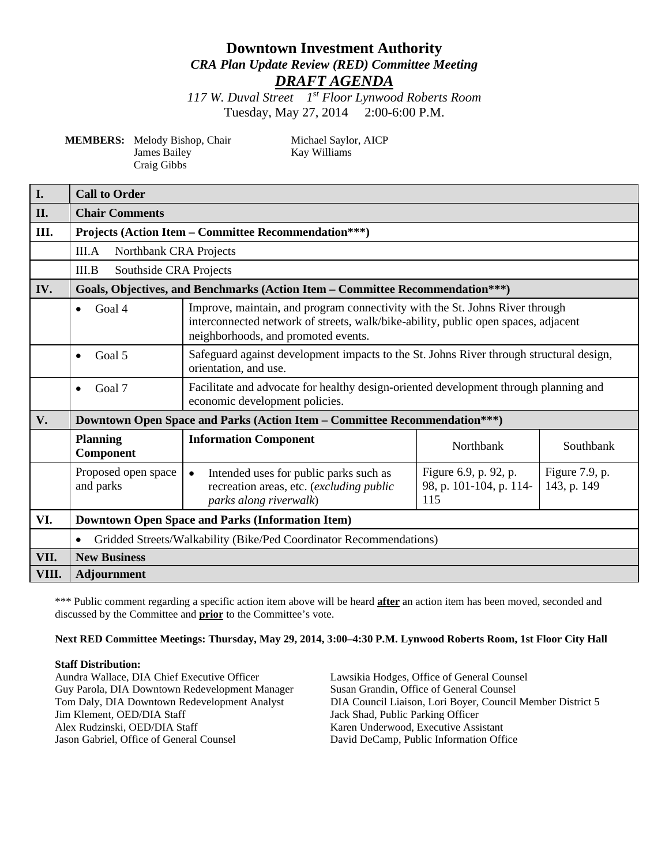# **Downtown Investment Authority** *CRA Plan Update Review (RED) Committee Meeting DRAFT AGENDA*

*117 W. Duval Street 1st Floor Lynwood Roberts Room* Tuesday, May 27, 2014 2:00-6:00 P.M.

**MEMBERS:** Melody Bishop, Chair Michael Saylor, AICP James Bailey Kay Williams Craig Gibbs

| <b>I.</b> | <b>Call to Order</b>                                                             |                                                                                                                                                                                                           |                                                         |                               |  |
|-----------|----------------------------------------------------------------------------------|-----------------------------------------------------------------------------------------------------------------------------------------------------------------------------------------------------------|---------------------------------------------------------|-------------------------------|--|
| II.       | <b>Chair Comments</b>                                                            |                                                                                                                                                                                                           |                                                         |                               |  |
| Ш.        | <b>Projects (Action Item – Committee Recommendation***)</b>                      |                                                                                                                                                                                                           |                                                         |                               |  |
|           | III.A<br>Northbank CRA Projects                                                  |                                                                                                                                                                                                           |                                                         |                               |  |
|           | Southside CRA Projects<br>III.B                                                  |                                                                                                                                                                                                           |                                                         |                               |  |
| IV.       | Goals, Objectives, and Benchmarks (Action Item – Committee Recommendation***)    |                                                                                                                                                                                                           |                                                         |                               |  |
|           | Goal 4<br>$\bullet$                                                              | Improve, maintain, and program connectivity with the St. Johns River through<br>interconnected network of streets, walk/bike-ability, public open spaces, adjacent<br>neighborhoods, and promoted events. |                                                         |                               |  |
|           | Goal 5<br>$\bullet$                                                              | Safeguard against development impacts to the St. Johns River through structural design,<br>orientation, and use.                                                                                          |                                                         |                               |  |
|           | Goal 7<br>$\bullet$                                                              | Facilitate and advocate for healthy design-oriented development through planning and<br>economic development policies.                                                                                    |                                                         |                               |  |
| V.        | <b>Downtown Open Space and Parks (Action Item – Committee Recommendation***)</b> |                                                                                                                                                                                                           |                                                         |                               |  |
|           | <b>Planning</b><br>Component                                                     | <b>Information Component</b>                                                                                                                                                                              | Northbank                                               | Southbank                     |  |
|           | Proposed open space<br>and parks                                                 | Intended uses for public parks such as<br>$\bullet$<br>recreation areas, etc. (excluding public<br>parks along riverwalk)                                                                                 | Figure 6.9, p. 92, p.<br>98, p. 101-104, p. 114-<br>115 | Figure 7.9, p.<br>143, p. 149 |  |
| VI.       | <b>Downtown Open Space and Parks (Information Item)</b>                          |                                                                                                                                                                                                           |                                                         |                               |  |
|           | Gridded Streets/Walkability (Bike/Ped Coordinator Recommendations)<br>$\bullet$  |                                                                                                                                                                                                           |                                                         |                               |  |
| VII.      | <b>New Business</b>                                                              |                                                                                                                                                                                                           |                                                         |                               |  |
| VIII.     | <b>Adjournment</b>                                                               |                                                                                                                                                                                                           |                                                         |                               |  |

\*\*\* Public comment regarding a specific action item above will be heard **after** an action item has been moved, seconded and discussed by the Committee and **prior** to the Committee's vote.

#### **Next RED Committee Meetings: Thursday, May 29, 2014, 3:00–4:30 P.M. Lynwood Roberts Room, 1st Floor City Hall**

#### **Staff Distribution:**

Aundra Wallace, DIA Chief Executive Officer Lawsikia Hodges, Office of General Counsel Guy Parola, DIA Downtown Redevelopment Manager Susan Grandin, Office of General Counsel<br>Tom Daly, DIA Downtown Redevelopment Analyst DIA Council Liaison, Lori Boyer, Council Jim Klement, OED/DIA Staff Jack Shad, Public Parking Officer<br>Alex Rudzinski, OED/DIA Staff Karen Underwood, Executive Assi Alex Rudzinski, OED/DIA Staff Karen Underwood, Executive Assistant Jason Gabriel, Office of General Counsel David DeCamp, Public Information Office

Tom Daly, DIA Downtown Redevelopment Analyst DIA Council Liaison, Lori Boyer, Council Member District 5<br>Jack Shad, Public Parking Officer David DeCamp, Public Information Office